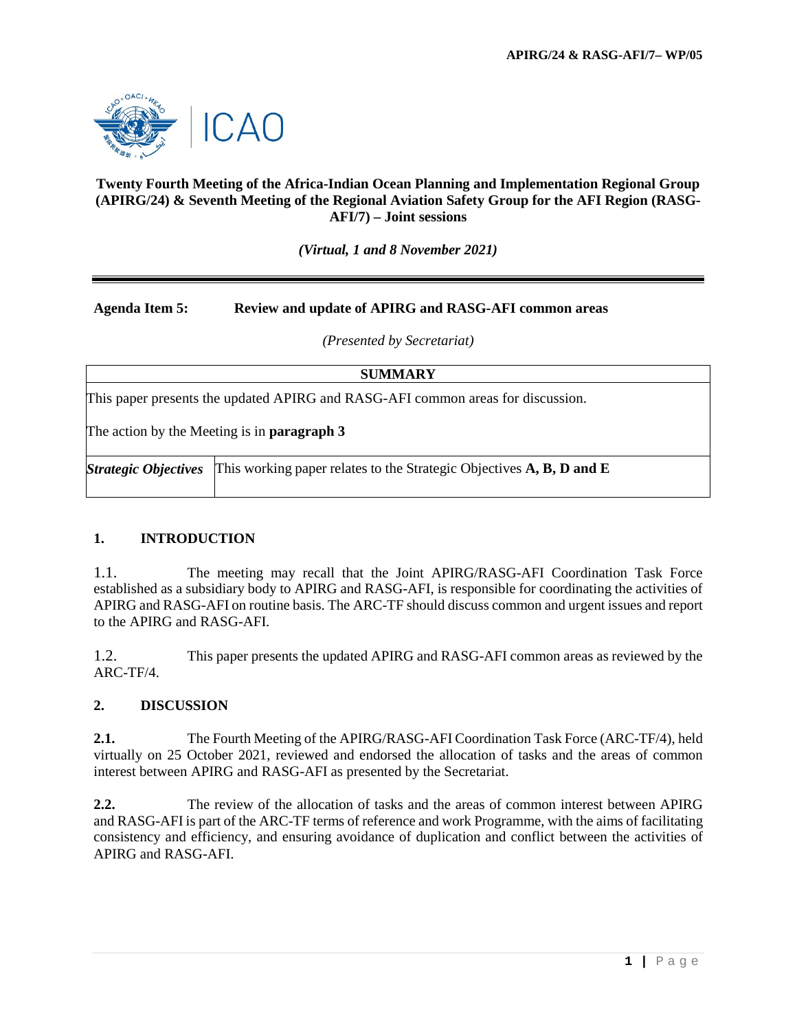

### **Twenty Fourth Meeting of the Africa-Indian Ocean Planning and Implementation Regional Group (APIRG/24) & Seventh Meeting of the Regional Aviation Safety Group for the AFI Region (RASG-AFI/7) – Joint sessions**

*(Virtual, 1 and 8 November 2021)*

## **Agenda Item 5: Review and update of APIRG and RASG-AFI common areas**

*(Presented by Secretariat)*

**SUMMARY**

This paper presents the updated APIRG and RASG-AFI common areas for discussion.

The action by the Meeting is in **paragraph 3**

*Strategic Objectives* This working paper relates to the Strategic Objectives **A, B, D and E**

#### **1. INTRODUCTION**

1.1. The meeting may recall that the Joint APIRG/RASG-AFI Coordination Task Force established as a subsidiary body to APIRG and RASG-AFI, is responsible for coordinating the activities of APIRG and RASG-AFI on routine basis. The ARC-TF should discuss common and urgent issues and report to the APIRG and RASG-AFI.

1.2. This paper presents the updated APIRG and RASG-AFI common areas as reviewed by the ARC-TF/4.

#### **2. DISCUSSION**

**2.1.** The Fourth Meeting of the APIRG/RASG-AFI Coordination Task Force (ARC-TF/4), held virtually on 25 October 2021, reviewed and endorsed the allocation of tasks and the areas of common interest between APIRG and RASG-AFI as presented by the Secretariat.

**2.2.** The review of the allocation of tasks and the areas of common interest between APIRG and RASG-AFI is part of the ARC-TF terms of reference and work Programme, with the aims of facilitating consistency and efficiency, and ensuring avoidance of duplication and conflict between the activities of APIRG and RASG-AFI.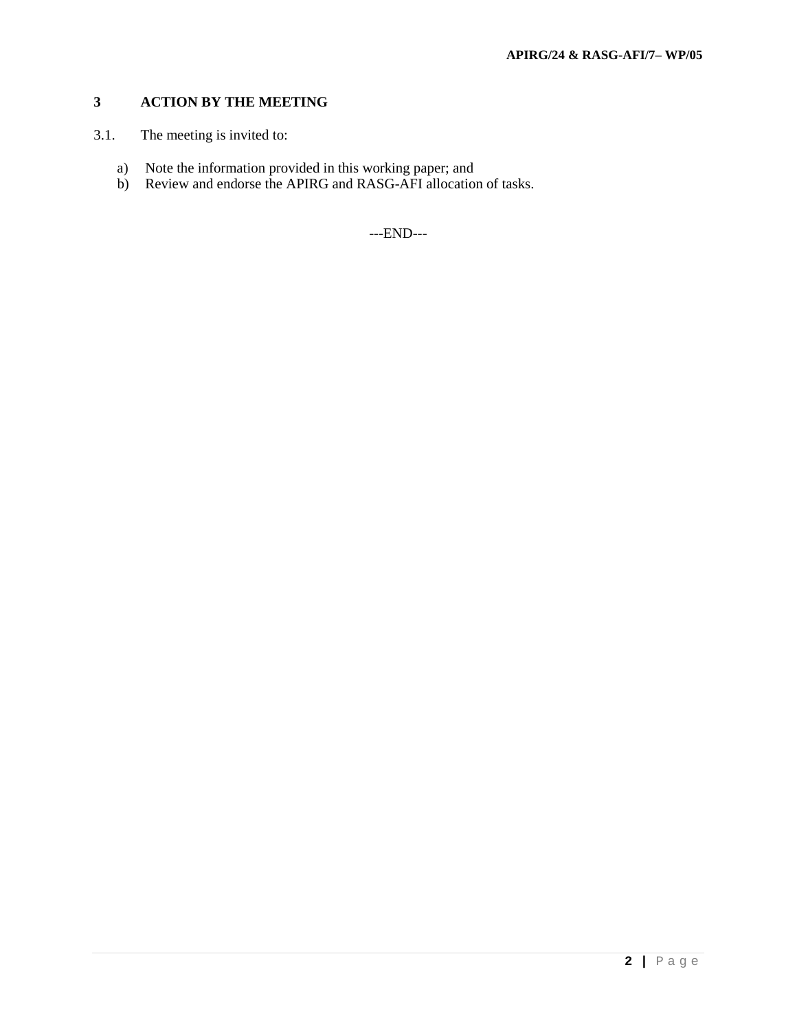# **3 ACTION BY THE MEETING**

- 3.1. The meeting is invited to:
	- a) Note the information provided in this working paper; and
	- b) Review and endorse the APIRG and RASG-AFI allocation of tasks.

---END---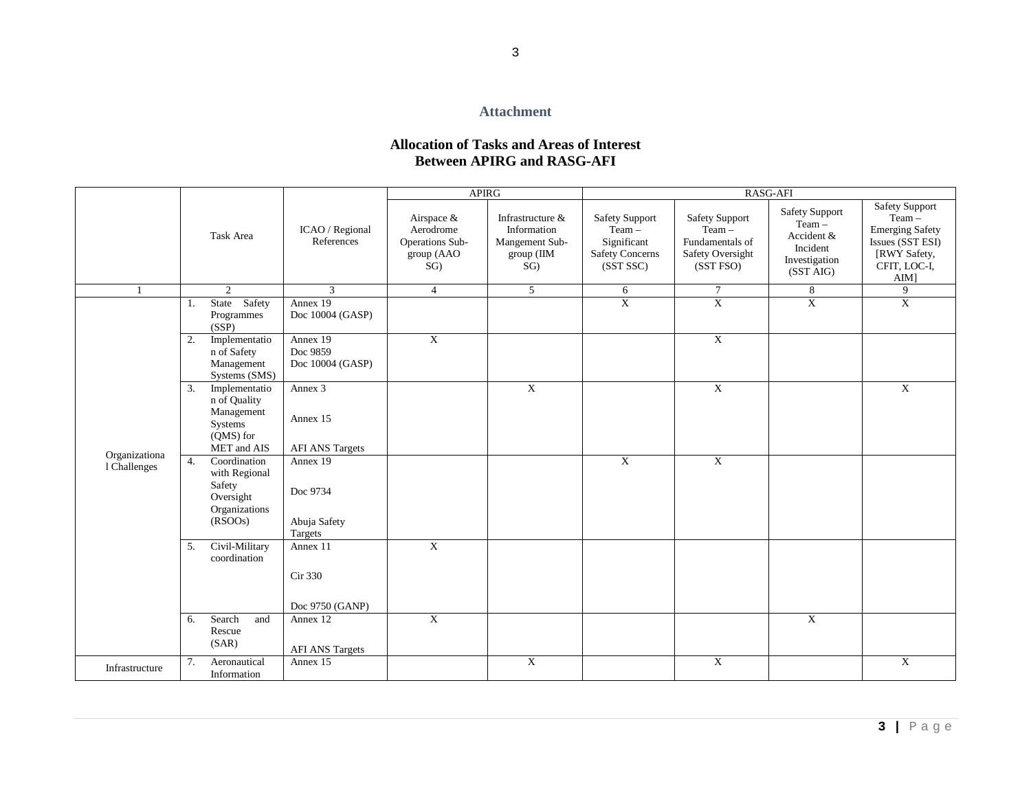#### **Attachment**

## **Allocation of Tasks and Areas of Interest Between APIRG and RASG-AFI**

|                               | Task Area |                                                                                    |                                                 | <b>APIRG</b>                                                    |                                                                        | RASG-AFI                                                                                |                                                                                       |                                                                                        |                                                                                                                            |
|-------------------------------|-----------|------------------------------------------------------------------------------------|-------------------------------------------------|-----------------------------------------------------------------|------------------------------------------------------------------------|-----------------------------------------------------------------------------------------|---------------------------------------------------------------------------------------|----------------------------------------------------------------------------------------|----------------------------------------------------------------------------------------------------------------------------|
|                               |           |                                                                                    | ICAO / Regional<br>References                   | Airspace &<br>Aerodrome<br>Operations Sub-<br>group (AAO<br>SG) | Infrastructure &<br>Information<br>Mangement Sub-<br>group (IIM<br>SG) | <b>Safety Support</b><br>$Team -$<br>Significant<br><b>Safety Concerns</b><br>(SST SSC) | <b>Safety Support</b><br>$Team -$<br>Fundamentals of<br>Safety Oversight<br>(SST FSO) | <b>Safety Support</b><br>Team-<br>Accident &<br>Incident<br>Investigation<br>(SST AIG) | <b>Safety Support</b><br>$Team -$<br><b>Emerging Safety</b><br>Issues (SST ESI)<br>[RWY Safety,<br>CFIT, LOC-I,<br>$AIM$ ] |
|                               |           | $\overline{2}$                                                                     | $\overline{3}$                                  | $\overline{4}$                                                  | 5 <sup>5</sup>                                                         | 6                                                                                       | $7\phantom{.0}$                                                                       | $8\,$                                                                                  | 9                                                                                                                          |
| Organizationa<br>1 Challenges | 1.        | State Safety<br>Programmes<br>(SSP)                                                | Annex 19<br>Doc 10004 (GASP)                    |                                                                 |                                                                        | $\overline{X}$                                                                          | $\overline{X}$                                                                        | $\overline{X}$                                                                         | $\overline{X}$                                                                                                             |
|                               | 2.        | Implementatio<br>n of Safety<br>Management<br>Systems (SMS)                        | Annex 19<br>Doc 9859<br>Doc 10004 (GASP)        | $\mathbf{X}$                                                    |                                                                        |                                                                                         | $\mathbf{X}$                                                                          |                                                                                        |                                                                                                                            |
|                               | 3.        | Implementatio<br>n of Quality<br>Management<br>Systems<br>(QMS) for<br>MET and AIS | Annex 3<br>Annex 15<br><b>AFI ANS Targets</b>   |                                                                 | $\overline{X}$                                                         |                                                                                         | $\overline{X}$                                                                        |                                                                                        | $\overline{X}$                                                                                                             |
|                               | 4.        | Coordination<br>with Regional<br>Safety<br>Oversight<br>Organizations<br>(RSOOs)   | Annex 19<br>Doc 9734<br>Abuja Safety<br>Targets |                                                                 |                                                                        | $\overline{X}$                                                                          | $\overline{X}$                                                                        |                                                                                        |                                                                                                                            |
|                               | 5.        | Civil-Military<br>coordination                                                     | Annex 11<br>Cir 330<br>Doc 9750 (GANP)          | $\overline{X}$                                                  |                                                                        |                                                                                         |                                                                                       |                                                                                        |                                                                                                                            |
|                               | 6.        | Search<br>and<br>Rescue<br>(SAR)                                                   | Annex 12<br><b>AFI ANS Targets</b>              | $\overline{X}$                                                  |                                                                        |                                                                                         |                                                                                       | $\overline{X}$                                                                         |                                                                                                                            |
| Infrastructure                | 7.        | Aeronautical<br>Information                                                        | Annex 15                                        |                                                                 | $\overline{X}$                                                         |                                                                                         | $\overline{X}$                                                                        |                                                                                        | $\overline{X}$                                                                                                             |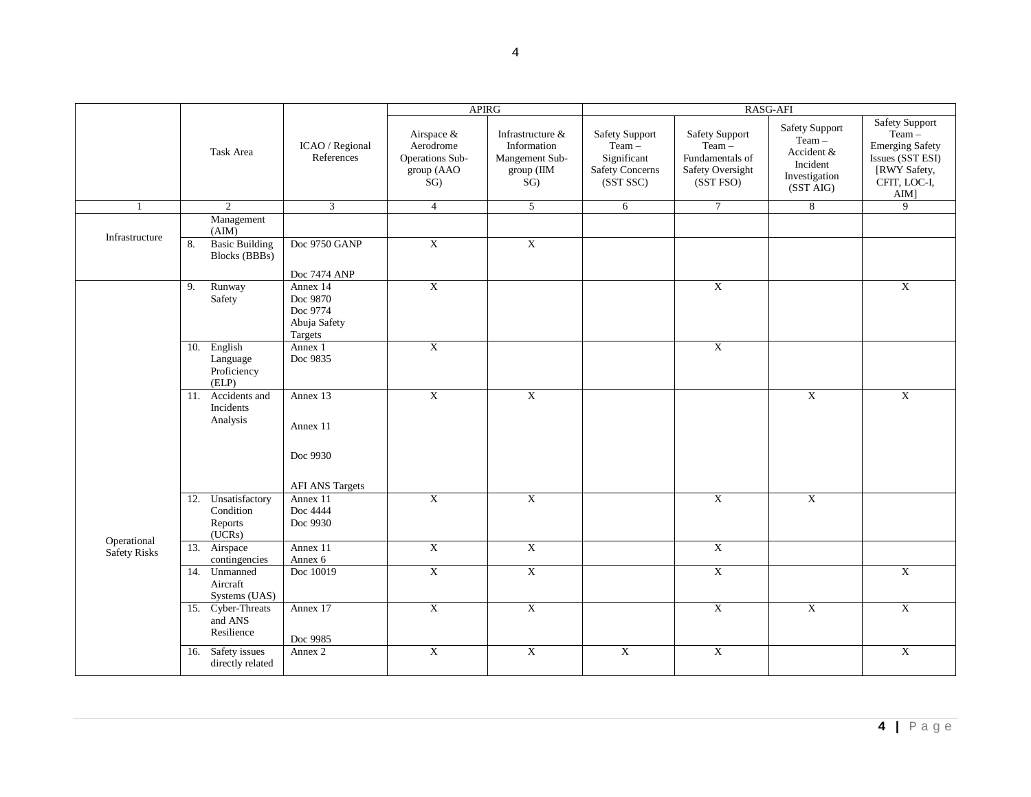|                             |                                                      |                                                             | <b>APIRG</b>                                                    |                                                                        | RASG-AFI                                                                         |                                                                                       |                                                                                           |                                                                                                                         |  |
|-----------------------------|------------------------------------------------------|-------------------------------------------------------------|-----------------------------------------------------------------|------------------------------------------------------------------------|----------------------------------------------------------------------------------|---------------------------------------------------------------------------------------|-------------------------------------------------------------------------------------------|-------------------------------------------------------------------------------------------------------------------------|--|
|                             | Task Area                                            | ICAO / Regional<br>References                               | Airspace &<br>Aerodrome<br>Operations Sub-<br>group (AAO<br>SG) | Infrastructure &<br>Information<br>Mangement Sub-<br>group (IIM<br>SG) | <b>Safety Support</b><br>$Team -$<br>Significant<br>Safety Concerns<br>(SST SSC) | <b>Safety Support</b><br>$Team -$<br>Fundamentals of<br>Safety Oversight<br>(SST FSO) | <b>Safety Support</b><br>$Team -$<br>Accident &<br>Incident<br>Investigation<br>(SST AIG) | <b>Safety Support</b><br>$Team -$<br><b>Emerging Safety</b><br>Issues (SST ESI)<br>[RWY Safety,<br>CFIT, LOC-I,<br>AIM] |  |
|                             | $\overline{2}$                                       | $\overline{3}$                                              | $\overline{4}$                                                  | 5                                                                      | 6                                                                                | $\overline{7}$                                                                        | 8                                                                                         | 9                                                                                                                       |  |
| Infrastructure              | Management<br>(AIM)                                  |                                                             |                                                                 |                                                                        |                                                                                  |                                                                                       |                                                                                           |                                                                                                                         |  |
|                             | <b>Basic Building</b><br>8.<br>Blocks (BBBs)         | Doc 9750 GANP<br>Doc 7474 ANP                               | $\overline{X}$                                                  | $\overline{X}$                                                         |                                                                                  |                                                                                       |                                                                                           |                                                                                                                         |  |
|                             | Runway<br>9.<br>Safety                               | Annex 14<br>Doc 9870<br>Doc 9774<br>Abuja Safety<br>Targets | $\boldsymbol{\mathrm{X}}$                                       |                                                                        |                                                                                  | $\boldsymbol{\mathrm{X}}$                                                             |                                                                                           | $\overline{X}$                                                                                                          |  |
| Operational<br>Safety Risks | 10. English<br>Language<br>Proficiency<br>(ELP)      | Annex 1<br>Doc 9835                                         | $\boldsymbol{\mathrm{X}}$                                       |                                                                        |                                                                                  | $\overline{X}$                                                                        |                                                                                           |                                                                                                                         |  |
|                             | 11. Accidents and<br>Incidents<br>Analysis           | Annex 13<br>Annex 11<br>Doc 9930                            | $\overline{\text{X}}$                                           | $\overline{X}$                                                         |                                                                                  |                                                                                       | $\overline{X}$                                                                            | $\overline{X}$                                                                                                          |  |
|                             |                                                      | <b>AFI ANS Targets</b>                                      |                                                                 |                                                                        |                                                                                  |                                                                                       |                                                                                           |                                                                                                                         |  |
|                             | 12. Unsatisfactory<br>Condition<br>Reports<br>(UCRs) | Annex 11<br>Doc 4444<br>Doc 9930                            | $\overline{\textbf{X}}$                                         | $\overline{X}$                                                         |                                                                                  | $\boldsymbol{\mathrm{X}}$                                                             | $\boldsymbol{\mathrm{X}}$                                                                 |                                                                                                                         |  |
|                             | 13. Airspace<br>contingencies                        | Annex 11<br>Annex 6                                         | $\boldsymbol{\mathrm{X}}$                                       | $\overline{X}$                                                         |                                                                                  | $\overline{X}$                                                                        |                                                                                           |                                                                                                                         |  |
|                             | 14. Unmanned<br>Aircraft<br>Systems (UAS)            | Doc 10019                                                   | $\overline{\textbf{X}}$                                         | $\overline{\mathbf{X}}$                                                |                                                                                  | $\overline{\text{X}}$                                                                 |                                                                                           | $\overline{\textbf{X}}$                                                                                                 |  |
|                             | 15. Cyber-Threats<br>and ANS<br>Resilience           | Annex 17<br>Doc 9985                                        | $\overline{X}$                                                  | $\overline{X}$                                                         |                                                                                  | $\overline{X}$                                                                        | X                                                                                         | $\overline{X}$                                                                                                          |  |
|                             | 16. Safety issues<br>directly related                | Annex 2                                                     | $\overline{X}$                                                  | $\overline{X}$                                                         | $\mathbf X$                                                                      | $\boldsymbol{\mathrm{X}}$                                                             |                                                                                           | $\overline{X}$                                                                                                          |  |